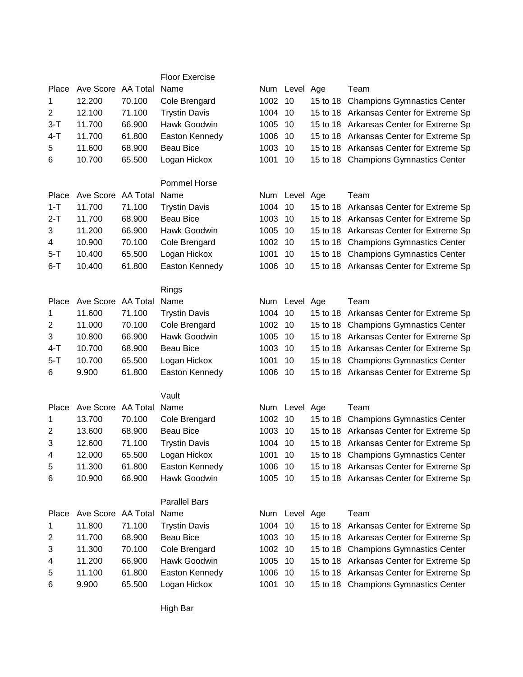|                |                         |        | <b>Floor Exercise</b> |         |               |                                         |
|----------------|-------------------------|--------|-----------------------|---------|---------------|-----------------------------------------|
| Place          | Ave Score AA Total      |        | Name                  |         | Num Level Age | Team                                    |
| 1              | 12.200                  | 70.100 | Cole Brengard         | 1002    | 10            | 15 to 18 Champions Gymnastics Center    |
| $\overline{2}$ | 12.100                  | 71.100 | <b>Trystin Davis</b>  | 1004    | 10            | 15 to 18 Arkansas Center for Extreme Sp |
| $3-T$          | 11.700                  | 66.900 | Hawk Goodwin          | 1005    | 10            | 15 to 18 Arkansas Center for Extreme Sp |
| $4-T$          | 11.700                  | 61.800 | Easton Kennedy        | 1006    | 10            | 15 to 18 Arkansas Center for Extreme Sp |
| 5              | 11.600                  | 68.900 | <b>Beau Bice</b>      | 1003    | 10            | 15 to 18 Arkansas Center for Extreme Sp |
| 6              | 10.700                  | 65.500 | Logan Hickox          | 1001    | 10            | 15 to 18 Champions Gymnastics Center    |
|                |                         |        |                       |         |               |                                         |
|                |                         |        | Pommel Horse          |         |               |                                         |
| Place          | Ave Score AA Total      |        | Name                  |         | Num Level Age | Team                                    |
| $1 - T$        | 11.700                  | 71.100 | <b>Trystin Davis</b>  | 1004    | 10            | 15 to 18 Arkansas Center for Extreme Sp |
| $2-T$          | 11.700                  | 68.900 | <b>Beau Bice</b>      | 1003    | 10            | 15 to 18 Arkansas Center for Extreme Sp |
| 3              | 11.200                  | 66.900 | Hawk Goodwin          | 1005    | 10            | 15 to 18 Arkansas Center for Extreme Sp |
| 4              | 10.900                  | 70.100 | Cole Brengard         | 1002    | 10            | 15 to 18 Champions Gymnastics Center    |
| 5-T            | 10.400                  | 65.500 | Logan Hickox          | 1001    | 10            | 15 to 18 Champions Gymnastics Center    |
| $6 - T$        | 10.400                  | 61.800 | Easton Kennedy        | 1006    | 10            | 15 to 18 Arkansas Center for Extreme Sp |
|                |                         |        |                       |         |               |                                         |
|                |                         |        | Rings                 |         |               |                                         |
| Place          | Ave Score AA Total      |        | Name                  |         | Num Level Age | Team                                    |
| 1              | 11.600                  | 71.100 | <b>Trystin Davis</b>  | 1004    | 10            | 15 to 18 Arkansas Center for Extreme Sp |
| 2              | 11.000                  | 70.100 | Cole Brengard         | 1002    | 10            | 15 to 18 Champions Gymnastics Center    |
| 3              | 10.800                  | 66.900 | Hawk Goodwin          | 1005    | 10            | 15 to 18 Arkansas Center for Extreme Sp |
| $4 - T$        | 10.700                  | 68.900 | <b>Beau Bice</b>      | 1003    | 10            | 15 to 18 Arkansas Center for Extreme Sp |
| $5 - T$        | 10.700                  | 65.500 | Logan Hickox          | 1001    | 10            | 15 to 18 Champions Gymnastics Center    |
| 6              | 9.900                   | 61.800 | Easton Kennedy        | 1006    | 10            | 15 to 18 Arkansas Center for Extreme Sp |
|                |                         |        |                       |         |               |                                         |
|                |                         |        | Vault                 |         |               |                                         |
| Place          | Ave Score AA Total Name |        |                       |         | Num Level Age | Team                                    |
| 1              | 13.700                  | 70.100 | Cole Brengard         | 1002    | 10            | 15 to 18 Champions Gymnastics Center    |
| $\overline{c}$ | 13.600                  | 68.900 | <b>Beau Bice</b>      | 1003    | 10            | 15 to 18 Arkansas Center for Extreme Sp |
| 3              | 12.600                  | 71.100 | <b>Trystin Davis</b>  | 1004    | 10            | 15 to 18 Arkansas Center for Extreme Sp |
| 4              | 12.000                  | 65.500 | Logan Hickox          | 1001 10 |               | 15 to 18 Champions Gymnastics Center    |
| 5              | 11.300                  | 61.800 | Easton Kennedy        | 1006    | 10            | 15 to 18 Arkansas Center for Extreme Sp |
| 6              | 10.900                  | 66.900 | Hawk Goodwin          | 1005 10 |               | 15 to 18 Arkansas Center for Extreme Sp |
|                |                         |        |                       |         |               |                                         |
|                |                         |        | <b>Parallel Bars</b>  |         |               |                                         |
| Place          | Ave Score AA Total      |        | Name                  |         | Num Level Age | Team                                    |
| 1              | 11.800                  | 71.100 | <b>Trystin Davis</b>  | 1004    | 10            | 15 to 18 Arkansas Center for Extreme Sp |
| 2              | 11.700                  | 68.900 | <b>Beau Bice</b>      | 1003    | 10            | 15 to 18 Arkansas Center for Extreme Sp |
| 3              | 11.300                  | 70.100 | Cole Brengard         | 1002    | 10            | 15 to 18 Champions Gymnastics Center    |
| 4              | 11.200                  | 66.900 | Hawk Goodwin          | 1005    | 10            | 15 to 18 Arkansas Center for Extreme Sp |
| 5              | 11.100                  | 61.800 | Easton Kennedy        | 1006    | 10            | 15 to 18 Arkansas Center for Extreme Sp |
| 6              | 9.900                   | 65.500 | Logan Hickox          | 1001 10 |               | 15 to 18 Champions Gymnastics Center    |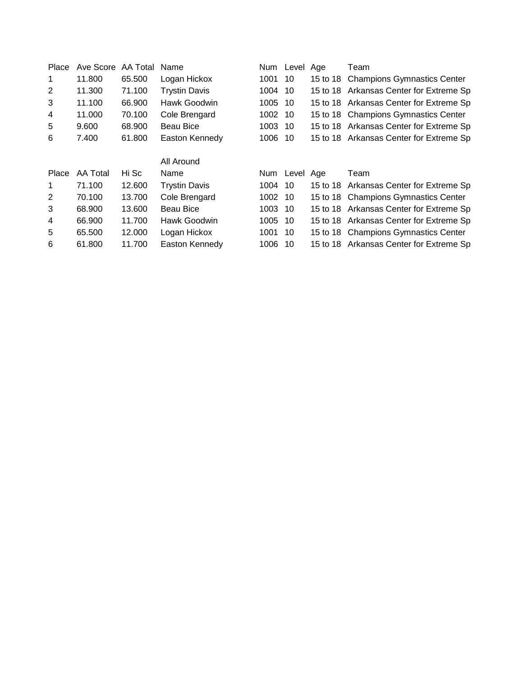| Ave Score | AA Total | Name                 |      |    |                                                                                       | Team                                    |
|-----------|----------|----------------------|------|----|---------------------------------------------------------------------------------------|-----------------------------------------|
| 11.800    | 65.500   | Logan Hickox         | 1001 | 10 |                                                                                       | 15 to 18 Champions Gymnastics Center    |
| 11.300    | 71.100   | <b>Trystin Davis</b> |      |    |                                                                                       | 15 to 18 Arkansas Center for Extreme Sp |
| 11.100    | 66.900   | Hawk Goodwin         | 1005 |    |                                                                                       | 15 to 18 Arkansas Center for Extreme Sp |
| 11.000    | 70.100   | Cole Brengard        | 1002 |    |                                                                                       | 15 to 18 Champions Gymnastics Center    |
| 9.600     | 68.900   | <b>Beau Bice</b>     |      |    |                                                                                       | 15 to 18 Arkansas Center for Extreme Sp |
| 7.400     | 61.800   | Easton Kennedy       | 1006 |    |                                                                                       | 15 to 18 Arkansas Center for Extreme Sp |
|           |          |                      |      |    |                                                                                       |                                         |
|           |          | All Around           |      |    |                                                                                       |                                         |
| AA Total  | Hi Sc    | Name                 |      |    |                                                                                       | Team                                    |
| 71.100    | 12.600   | <b>Trystin Davis</b> | 1004 | 10 |                                                                                       | 15 to 18 Arkansas Center for Extreme Sp |
| 70.100    | 13.700   | Cole Brengard        |      |    |                                                                                       | 15 to 18 Champions Gymnastics Center    |
| 68.900    | 13.600   | Beau Bice            | 1003 |    |                                                                                       | 15 to 18 Arkansas Center for Extreme Sp |
| 66.900    | 11.700   | Hawk Goodwin         | 1005 |    |                                                                                       | 15 to 18 Arkansas Center for Extreme Sp |
| 65.500    | 12.000   | Logan Hickox         | 1001 |    |                                                                                       | 15 to 18 Champions Gymnastics Center    |
| 61.800    | 11.700   | Easton Kennedy       | 1006 | 10 |                                                                                       | 15 to 18 Arkansas Center for Extreme Sp |
|           |          |                      |      |    | Num Level<br>1004 10<br>-10<br>-10<br>1003 10<br>-10<br>1002 10<br>-10<br>-10<br>- 10 | Age<br>Num Level Age                    |